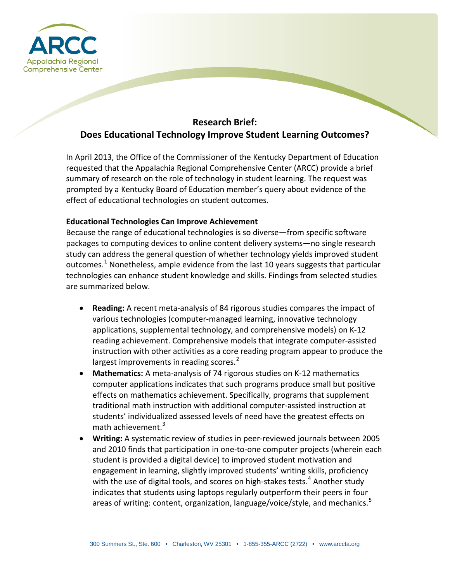

# **Research Brief: Does Educational Technology Improve Student Learning Outcomes?**

In April 2013, the Office of the Commissioner of the Kentucky Department of Education requested that the Appalachia Regional Comprehensive Center (ARCC) provide a brief summary of research on the role of technology in student learning. The request was prompted by a Kentucky Board of Education member's query about evidence of the effect of educational technologies on student outcomes.

## **Educational Technologies Can Improve Achievement**

Because the range of educational technologies is so diverse—from specific software packages to computing devices to online content delivery systems—no single research study can address the general question of whether technology yields improved student outcomes.<sup>[1](#page-2-0)</sup> Nonetheless, ample evidence from the last 10 years suggests that particular technologies can enhance student knowledge and skills. Findings from selected studies are summarized below.

- **Reading:** A recent meta-analysis of 84 rigorous studies compares the impact of various technologies (computer-managed learning, innovative technology applications, supplemental technology, and comprehensive models) on K-12 reading achievement. Comprehensive models that integrate computer-assisted instruction with other activities as a core reading program appear to produce the largest improvements in reading scores.<sup>[2](#page-2-1)</sup>
- **Mathematics:** A meta-analysis of 74 rigorous studies on K-12 mathematics computer applications indicates that such programs produce small but positive effects on mathematics achievement. Specifically, programs that supplement traditional math instruction with additional computer-assisted instruction at students' individualized assessed levels of need have the greatest effects on math achievement. $3$
- **Writing:** A systematic review of studies in peer-reviewed journals between 2005 and 2010 finds that participation in one-to-one computer projects (wherein each student is provided a digital device) to improved student motivation and engagement in learning, slightly improved students' writing skills, proficiency with the use of digital tools, and scores on high-stakes tests. $4$  Another study indicates that students using laptops regularly outperform their peers in four areas of writing: content, organization, language/voice/style, and mechanics.<sup>[5](#page-2-4)</sup>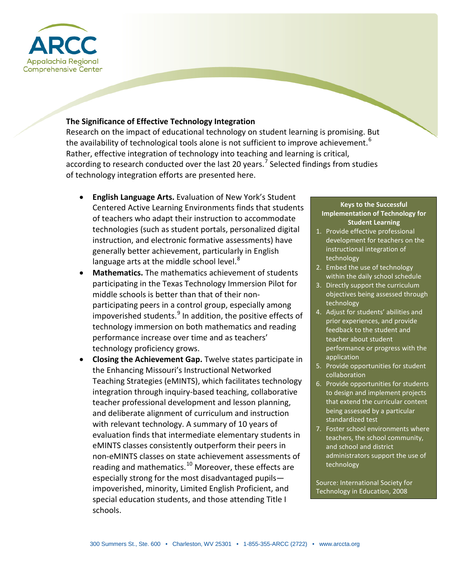

## **The Significance of Effective Technology Integration**

Research on the impact of educational technology on student learning is promising. But the availability of technological tools alone is not sufficient to improve achievement.  $^6$  $^6$ Rather, effective integration of technology into teaching and learning is critical, according to research conducted over the last 20 years.<sup>[7](#page-2-6)</sup> Selected findings from studies of technology integration efforts are presented here.

- **English Language Arts.** Evaluation of New York's Student Centered Active Learning Environments finds that students of teachers who adapt their instruction to accommodate technologies (such as student portals, personalized digital instruction, and electronic formative assessments) have generally better achievement, particularly in English language arts at the middle school level. $8$
- **Mathematics.** The mathematics achievement of students participating in the Texas Technology Immersion Pilot for middle schools is better than that of their nonparticipating peers in a control group, especially among impoverished students. $9$  In addition, the positive effects of technology immersion on both mathematics and reading performance increase over time and as teachers' technology proficiency grows.
- **Closing the Achievement Gap.** Twelve states participate in the Enhancing Missouri's Instructional Networked Teaching Strategies (eMINTS), which facilitates technology integration through inquiry-based teaching, collaborative teacher professional development and lesson planning, and deliberate alignment of curriculum and instruction with relevant technology. A summary of 10 years of evaluation finds that intermediate elementary students in eMINTS classes consistently outperform their peers in non-eMINTS classes on state achievement assessments of reading and mathematics.<sup>[10](#page-2-9)</sup> Moreover, these effects are especially strong for the most disadvantaged pupils impoverished, minority, Limited English Proficient, and special education students, and those attending Title I schools.

#### **Keys to the Successful Implementation of Technology for Student Learning**

- 1. Provide effective professional development for teachers on the instructional integration of technology
- 2. Embed the use of technology within the daily school schedule
- 3. Directly support the curriculum objectives being assessed through technology
- 4. Adjust for students' abilities and prior experiences, and provide feedback to the student and teacher about student performance or progress with the application
- 5. Provide opportunities for student collaboration
- 6. Provide opportunities for students to design and implement projects that extend the curricular content being assessed by a particular standardized test
- 7. Foster school environments where teachers, the school community, and school and district administrators support the use of technology

Source: International Society for Technology in Education, 2008